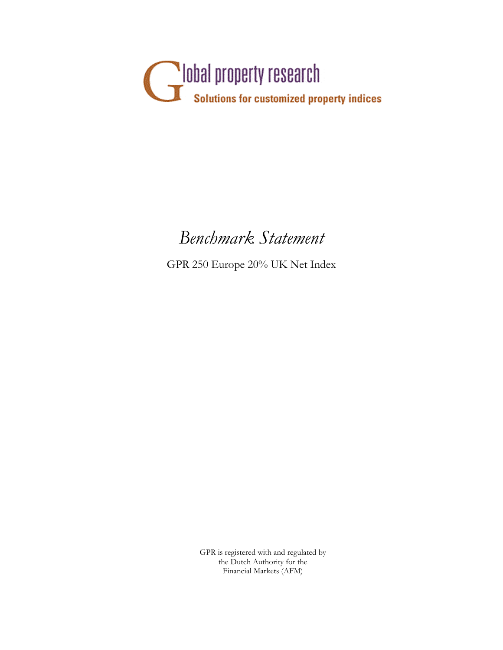

# *Benchmark Statement*

GPR 250 Europe 20% UK Net Index

GPR is registered with and regulated by the Dutch Authority for the Financial Markets (AFM)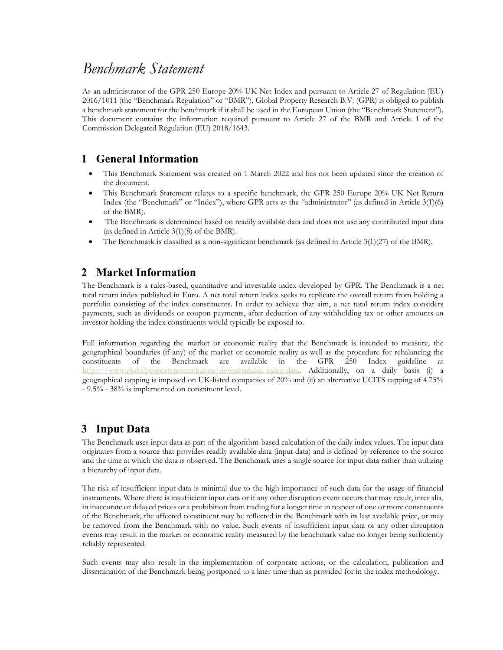# *Benchmark Statement*

As an administrator of the GPR 250 Europe 20% UK Net Index and pursuant to Article 27 of Regulation (EU) 2016/1011 (the "Benchmark Regulation" or "BMR"), Global Property Research B.V. (GPR) is obliged to publish a benchmark statement for the benchmark if it shall be used in the European Union (the "Benchmark Statement"). This document contains the information required pursuant to Article 27 of the BMR and Article 1 of the Commission Delegated Regulation (EU) 2018/1643.

#### **1 General Information**

- This Benchmark Statement was created on 1 March 2022 and has not been updated since the creation of the document.
- This Benchmark Statement relates to a specific benchmark, the GPR 250 Europe 20% UK Net Return Index (the "Benchmark" or "Index"), where GPR acts as the "administrator" (as defined in Article 3(1)(6) of the BMR).
- The Benchmark is determined based on readily available data and does not use any contributed input data (as defined in Article 3(1)(8) of the BMR).
- The Benchmark is classified as a non-significant benchmark (as defined in Article 3(1)(27) of the BMR).

#### **2 Market Information**

The Benchmark is a rules-based, quantitative and investable index developed by GPR. The Benchmark is a net total return index published in Euro. A net total return index seeks to replicate the overall return from holding a portfolio consisting of the index constituents. In order to achieve that aim, a net total return index considers payments, such as dividends or coupon payments, after deduction of any withholding tax or other amounts an investor holding the index constituents would typically be exposed to.

Full information regarding the market or economic reality that the Benchmark is intended to measure, the geographical boundaries (if any) of the market or economic reality as well as the procedure for rebalancing the constituents of the Benchmark are available in the GPR 250 Index guideline at https://www.globalpropertyresearch.com/downloadable-index-data. Additionally, on a daily basis (i) a geographical capping is imposed on UK-listed companies of 20% and (ii) an alternative UCITS capping of 4.75% - 9.5% - 38% is implemented on constituent level.

#### **3 Input Data**

The Benchmark uses input data as part of the algorithm-based calculation of the daily index values. The input data originates from a source that provides readily available data (input data) and is defined by reference to the source and the time at which the data is observed. The Benchmark uses a single source for input data rather than utilizing a hierarchy of input data.

The risk of insufficient input data is minimal due to the high importance of such data for the usage of financial instruments. Where there is insufficient input data or if any other disruption event occurs that may result, inter alia, in inaccurate or delayed prices or a prohibition from trading for a longer time in respect of one or more constituents of the Benchmark, the affected constituent may be reflected in the Benchmark with its last available price, or may be removed from the Benchmark with no value. Such events of insufficient input data or any other disruption events may result in the market or economic reality measured by the benchmark value no longer being sufficiently reliably represented.

Such events may also result in the implementation of corporate actions, or the calculation, publication and dissemination of the Benchmark being postponed to a later time than as provided for in the index methodology.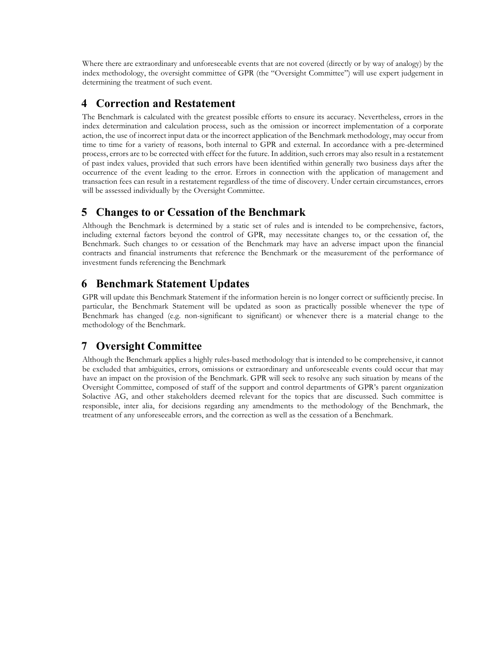Where there are extraordinary and unforeseeable events that are not covered (directly or by way of analogy) by the index methodology, the oversight committee of GPR (the "Oversight Committee") will use expert judgement in determining the treatment of such event.

#### **4 Correction and Restatement**

The Benchmark is calculated with the greatest possible efforts to ensure its accuracy. Nevertheless, errors in the index determination and calculation process, such as the omission or incorrect implementation of a corporate action, the use of incorrect input data or the incorrect application of the Benchmark methodology, may occur from time to time for a variety of reasons, both internal to GPR and external. In accordance with a pre-determined process, errors are to be corrected with effect for the future. In addition, such errors may also result in a restatement of past index values, provided that such errors have been identified within generally two business days after the occurrence of the event leading to the error. Errors in connection with the application of management and transaction fees can result in a restatement regardless of the time of discovery. Under certain circumstances, errors will be assessed individually by the Oversight Committee.

#### **5 Changes to or Cessation of the Benchmark**

Although the Benchmark is determined by a static set of rules and is intended to be comprehensive, factors, including external factors beyond the control of GPR, may necessitate changes to, or the cessation of, the Benchmark. Such changes to or cessation of the Benchmark may have an adverse impact upon the financial contracts and financial instruments that reference the Benchmark or the measurement of the performance of investment funds referencing the Benchmark

## **6 Benchmark Statement Updates**

GPR will update this Benchmark Statement if the information herein is no longer correct or sufficiently precise. In particular, the Benchmark Statement will be updated as soon as practically possible whenever the type of Benchmark has changed (e.g. non-significant to significant) or whenever there is a material change to the methodology of the Benchmark.

## **7 Oversight Committee**

Although the Benchmark applies a highly rules-based methodology that is intended to be comprehensive, it cannot be excluded that ambiguities, errors, omissions or extraordinary and unforeseeable events could occur that may have an impact on the provision of the Benchmark. GPR will seek to resolve any such situation by means of the Oversight Committee, composed of staff of the support and control departments of GPR's parent organization Solactive AG, and other stakeholders deemed relevant for the topics that are discussed. Such committee is responsible, inter alia, for decisions regarding any amendments to the methodology of the Benchmark, the treatment of any unforeseeable errors, and the correction as well as the cessation of a Benchmark.